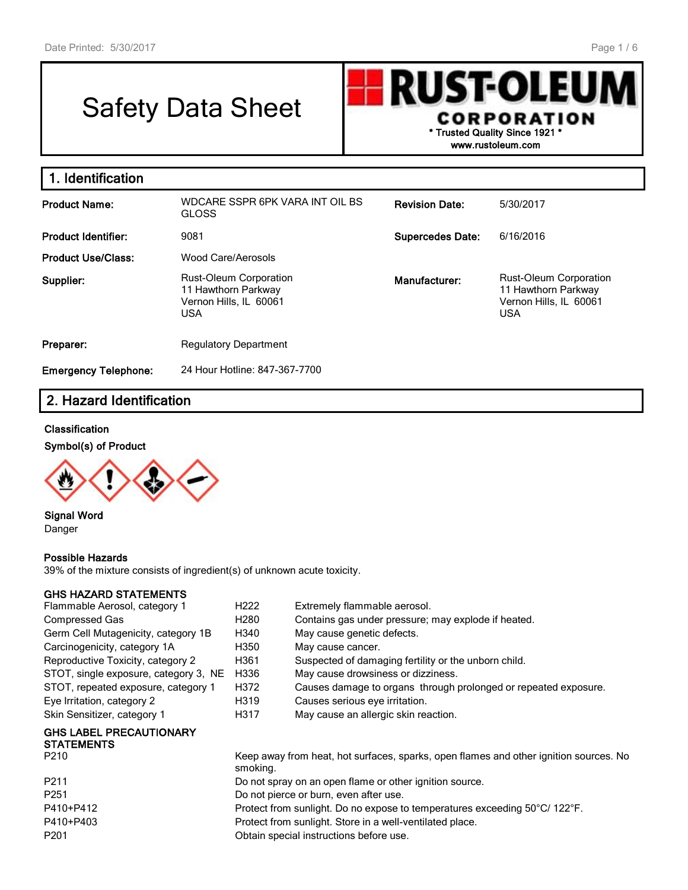# Safety Data Sheet

**RUST-OLEU CORPORATION \* Trusted Quality Since 1921 \***

**www.rustoleum.com**

| 1. Identification           |                                                                                       |                         |                                                                                       |
|-----------------------------|---------------------------------------------------------------------------------------|-------------------------|---------------------------------------------------------------------------------------|
| <b>Product Name:</b>        | WDCARE SSPR 6PK VARA INT OIL BS<br><b>GLOSS</b>                                       | <b>Revision Date:</b>   | 5/30/2017                                                                             |
| <b>Product Identifier:</b>  | 9081                                                                                  | <b>Supercedes Date:</b> | 6/16/2016                                                                             |
| <b>Product Use/Class:</b>   | Wood Care/Aerosols                                                                    |                         |                                                                                       |
| Supplier:                   | Rust-Oleum Corporation<br>11 Hawthorn Parkway<br>Vernon Hills, IL 60061<br><b>USA</b> | Manufacturer:           | Rust-Oleum Corporation<br>11 Hawthorn Parkway<br>Vernon Hills, IL 60061<br><b>USA</b> |
| Preparer:                   | <b>Regulatory Department</b>                                                          |                         |                                                                                       |
| <b>Emergency Telephone:</b> | 24 Hour Hotline: 847-367-7700                                                         |                         |                                                                                       |

# **2. Hazard Identification**

### **Classification**

#### **Symbol(s) of Product**



**Signal Word** Danger

### **Possible Hazards**

39% of the mixture consists of ingredient(s) of unknown acute toxicity.

### **GHS HAZARD STATEMENTS**

| H222                                                                       | Extremely flammable aerosol.                                                          |  |  |  |
|----------------------------------------------------------------------------|---------------------------------------------------------------------------------------|--|--|--|
| H <sub>280</sub>                                                           | Contains gas under pressure; may explode if heated.                                   |  |  |  |
| H340                                                                       | May cause genetic defects.                                                            |  |  |  |
| H350                                                                       | May cause cancer.                                                                     |  |  |  |
| H361                                                                       | Suspected of damaging fertility or the unborn child.                                  |  |  |  |
| H336                                                                       | May cause drowsiness or dizziness.                                                    |  |  |  |
| H372                                                                       | Causes damage to organs through prolonged or repeated exposure.                       |  |  |  |
| H319                                                                       | Causes serious eye irritation.                                                        |  |  |  |
| H317                                                                       | May cause an allergic skin reaction.                                                  |  |  |  |
|                                                                            |                                                                                       |  |  |  |
|                                                                            | Keep away from heat, hot surfaces, sparks, open flames and other ignition sources. No |  |  |  |
| smoking.                                                                   |                                                                                       |  |  |  |
|                                                                            | Do not spray on an open flame or other ignition source.                               |  |  |  |
| Do not pierce or burn, even after use.                                     |                                                                                       |  |  |  |
| Protect from sunlight. Do no expose to temperatures exceeding 50°C/ 122°F. |                                                                                       |  |  |  |
| Protect from sunlight. Store in a well-ventilated place.                   |                                                                                       |  |  |  |
|                                                                            |                                                                                       |  |  |  |

P201 Obtain special instructions before use.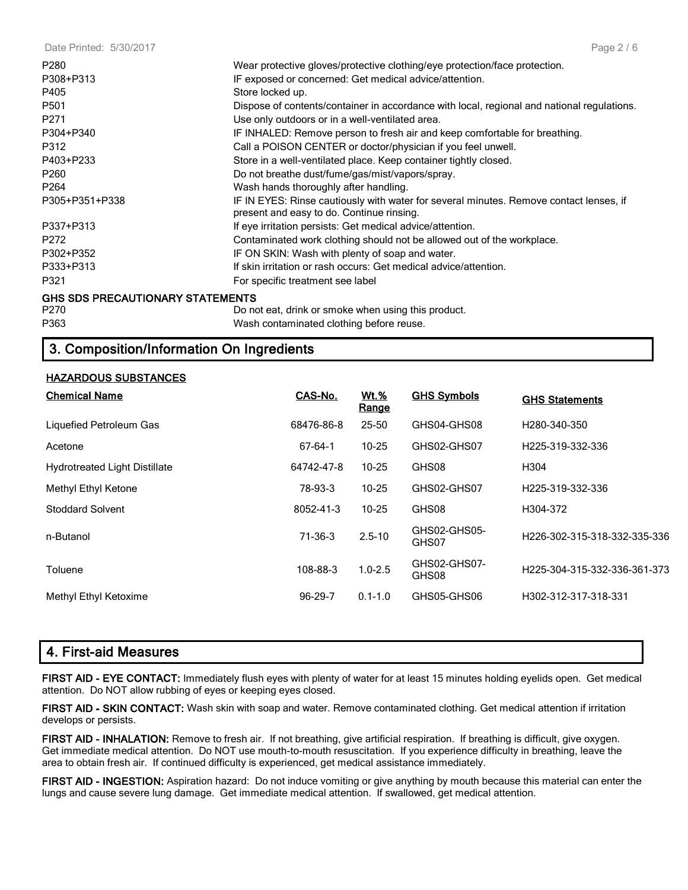Date Printed: 5/30/2017

| P <sub>280</sub>                        | Wear protective gloves/protective clothing/eye protection/face protection.                                                          |
|-----------------------------------------|-------------------------------------------------------------------------------------------------------------------------------------|
| P308+P313                               | IF exposed or concerned: Get medical advice/attention.                                                                              |
| P405                                    | Store locked up.                                                                                                                    |
| P <sub>501</sub>                        | Dispose of contents/container in accordance with local, regional and national regulations.                                          |
| P271                                    | Use only outdoors or in a well-ventilated area.                                                                                     |
| P304+P340                               | IF INHALED: Remove person to fresh air and keep comfortable for breathing.                                                          |
| P312                                    | Call a POISON CENTER or doctor/physician if you feel unwell.                                                                        |
| P403+P233                               | Store in a well-ventilated place. Keep container tightly closed.                                                                    |
| P <sub>260</sub>                        | Do not breathe dust/fume/gas/mist/vapors/spray.                                                                                     |
| P <sub>264</sub>                        | Wash hands thoroughly after handling.                                                                                               |
| P305+P351+P338                          | IF IN EYES: Rinse cautiously with water for several minutes. Remove contact lenses, if<br>present and easy to do. Continue rinsing. |
| P337+P313                               | If eye irritation persists: Get medical advice/attention.                                                                           |
| P272                                    | Contaminated work clothing should not be allowed out of the workplace.                                                              |
| P302+P352                               | IF ON SKIN: Wash with plenty of soap and water.                                                                                     |
| P333+P313                               | If skin irritation or rash occurs: Get medical advice/attention.                                                                    |
| P321                                    | For specific treatment see label                                                                                                    |
| <b>GHS SDS PRECAUTIONARY STATEMENTS</b> |                                                                                                                                     |

**GHS SDS PRECAUTIONARY STATEMENTS**

P270 Do not eat, drink or smoke when using this product. P363 Wash contaminated clothing before reuse.

# **3. Composition/Information On Ingredients**

### **HAZARDOUS SUBSTANCES**

| <b>Chemical Name</b>                 | CAS-No.       | <u>Wt.%</u><br><u>Range</u> | <b>GHS Symbols</b>    | <b>GHS Statements</b>        |
|--------------------------------------|---------------|-----------------------------|-----------------------|------------------------------|
| Liquefied Petroleum Gas              | 68476-86-8    | $25 - 50$                   | GHS04-GHS08           | H280-340-350                 |
| Acetone                              | 67-64-1       | $10 - 25$                   | GHS02-GHS07           | H225-319-332-336             |
| <b>Hydrotreated Light Distillate</b> | 64742-47-8    | $10 - 25$                   | GHS08                 | H <sub>304</sub>             |
| Methyl Ethyl Ketone                  | 78-93-3       | $10 - 25$                   | GHS02-GHS07           | H225-319-332-336             |
| <b>Stoddard Solvent</b>              | 8052-41-3     | $10 - 25$                   | GHS08                 | H304-372                     |
| n-Butanol                            | $71-36-3$     | $2.5 - 10$                  | GHS02-GHS05-<br>GHS07 | H226-302-315-318-332-335-336 |
| Toluene                              | 108-88-3      | $1.0 - 2.5$                 | GHS02-GHS07-<br>GHS08 | H225-304-315-332-336-361-373 |
| Methyl Ethyl Ketoxime                | $96 - 29 - 7$ | $0.1 - 1.0$                 | GHS05-GHS06           | H302-312-317-318-331         |

# **4. First-aid Measures**

**FIRST AID - EYE CONTACT:** Immediately flush eyes with plenty of water for at least 15 minutes holding eyelids open. Get medical attention. Do NOT allow rubbing of eyes or keeping eyes closed.

**FIRST AID - SKIN CONTACT:** Wash skin with soap and water. Remove contaminated clothing. Get medical attention if irritation develops or persists.

**FIRST AID - INHALATION:** Remove to fresh air. If not breathing, give artificial respiration. If breathing is difficult, give oxygen. Get immediate medical attention. Do NOT use mouth-to-mouth resuscitation. If you experience difficulty in breathing, leave the area to obtain fresh air. If continued difficulty is experienced, get medical assistance immediately.

**FIRST AID - INGESTION:** Aspiration hazard: Do not induce vomiting or give anything by mouth because this material can enter the lungs and cause severe lung damage. Get immediate medical attention. If swallowed, get medical attention.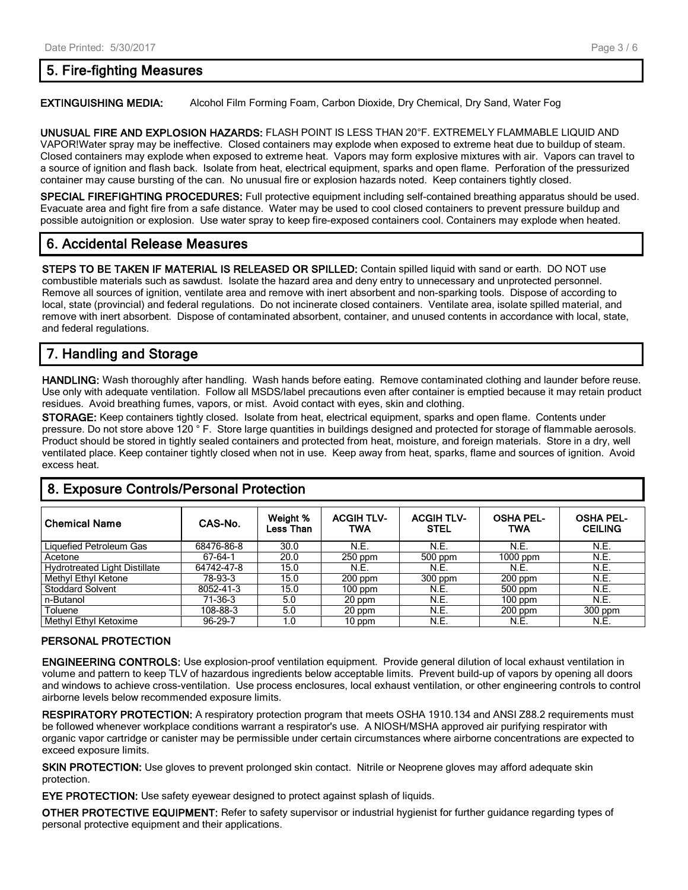# **5. Fire-fighting Measures**

#### **EXTINGUISHING MEDIA:** Alcohol Film Forming Foam, Carbon Dioxide, Dry Chemical, Dry Sand, Water Fog

**UNUSUAL FIRE AND EXPLOSION HAZARDS:** FLASH POINT IS LESS THAN 20°F. EXTREMELY FLAMMABLE LIQUID AND VAPOR!Water spray may be ineffective. Closed containers may explode when exposed to extreme heat due to buildup of steam. Closed containers may explode when exposed to extreme heat. Vapors may form explosive mixtures with air. Vapors can travel to a source of ignition and flash back. Isolate from heat, electrical equipment, sparks and open flame. Perforation of the pressurized container may cause bursting of the can. No unusual fire or explosion hazards noted. Keep containers tightly closed.

**SPECIAL FIREFIGHTING PROCEDURES:** Full protective equipment including self-contained breathing apparatus should be used. Evacuate area and fight fire from a safe distance. Water may be used to cool closed containers to prevent pressure buildup and possible autoignition or explosion. Use water spray to keep fire-exposed containers cool. Containers may explode when heated.

# **6. Accidental Release Measures**

**STEPS TO BE TAKEN IF MATERIAL IS RELEASED OR SPILLED:** Contain spilled liquid with sand or earth. DO NOT use combustible materials such as sawdust. Isolate the hazard area and deny entry to unnecessary and unprotected personnel. Remove all sources of ignition, ventilate area and remove with inert absorbent and non-sparking tools. Dispose of according to local, state (provincial) and federal regulations. Do not incinerate closed containers. Ventilate area, isolate spilled material, and remove with inert absorbent. Dispose of contaminated absorbent, container, and unused contents in accordance with local, state, and federal regulations.

# **7. Handling and Storage**

**HANDLING:** Wash thoroughly after handling. Wash hands before eating. Remove contaminated clothing and launder before reuse. Use only with adequate ventilation. Follow all MSDS/label precautions even after container is emptied because it may retain product residues. Avoid breathing fumes, vapors, or mist. Avoid contact with eyes, skin and clothing.

**STORAGE:** Keep containers tightly closed. Isolate from heat, electrical equipment, sparks and open flame. Contents under pressure. Do not store above 120 ° F. Store large quantities in buildings designed and protected for storage of flammable aerosols. Product should be stored in tightly sealed containers and protected from heat, moisture, and foreign materials. Store in a dry, well ventilated place. Keep container tightly closed when not in use. Keep away from heat, sparks, flame and sources of ignition. Avoid excess heat.

| <b>Chemical Name</b>                 | CAS-No.    | Weight %<br>Less Than | <b>ACGIH TLV-</b><br>TWA | <b>ACGIH TLV-</b><br><b>STEL</b> | <b>OSHA PEL-</b><br>TWA | <b>OSHA PEL-</b><br><b>CEILING</b> |
|--------------------------------------|------------|-----------------------|--------------------------|----------------------------------|-------------------------|------------------------------------|
| Liquefied Petroleum Gas              | 68476-86-8 | 30.0                  | N.E.                     | N.E.                             | N.E.                    | N.E.                               |
| Acetone                              | 67-64-1    | 20.0                  | $250$ ppm                | 500 ppm                          | $1000$ ppm              | N.E.                               |
| <b>Hydrotreated Light Distillate</b> | 64742-47-8 | 15.0                  | N.E.                     | N.E.                             | N.E.                    | N.E.                               |
| <b>Methyl Ethyl Ketone</b>           | 78-93-3    | 15.0                  | $200$ ppm                | $300$ ppm                        | $200$ ppm               | N.E.                               |
| <b>Stoddard Solvent</b>              | 8052-41-3  | 15.0                  | $100$ ppm                | N.E.                             | 500 ppm                 | N.E.                               |
| n-Butanol                            | 71-36-3    | 5.0                   | 20 ppm                   | N.E.                             | $100$ ppm               | N.E.                               |
| Toluene                              | 108-88-3   | 5.0                   | 20 ppm                   | N.E.                             | $200$ ppm               | $300$ ppm                          |
| Methyl Ethyl Ketoxime                | 96-29-7    | 1.0                   | 10 ppm                   | N.E.                             | N.E.                    | N.E.                               |

### **8. Exposure Controls/Personal Protection**

### **PERSONAL PROTECTION**

**ENGINEERING CONTROLS:** Use explosion-proof ventilation equipment. Provide general dilution of local exhaust ventilation in volume and pattern to keep TLV of hazardous ingredients below acceptable limits. Prevent build-up of vapors by opening all doors and windows to achieve cross-ventilation. Use process enclosures, local exhaust ventilation, or other engineering controls to control airborne levels below recommended exposure limits.

**RESPIRATORY PROTECTION:** A respiratory protection program that meets OSHA 1910.134 and ANSI Z88.2 requirements must be followed whenever workplace conditions warrant a respirator's use. A NIOSH/MSHA approved air purifying respirator with organic vapor cartridge or canister may be permissible under certain circumstances where airborne concentrations are expected to exceed exposure limits.

**SKIN PROTECTION:** Use gloves to prevent prolonged skin contact. Nitrile or Neoprene gloves may afford adequate skin protection.

**EYE PROTECTION:** Use safety eyewear designed to protect against splash of liquids.

**OTHER PROTECTIVE EQUIPMENT:** Refer to safety supervisor or industrial hygienist for further guidance regarding types of personal protective equipment and their applications.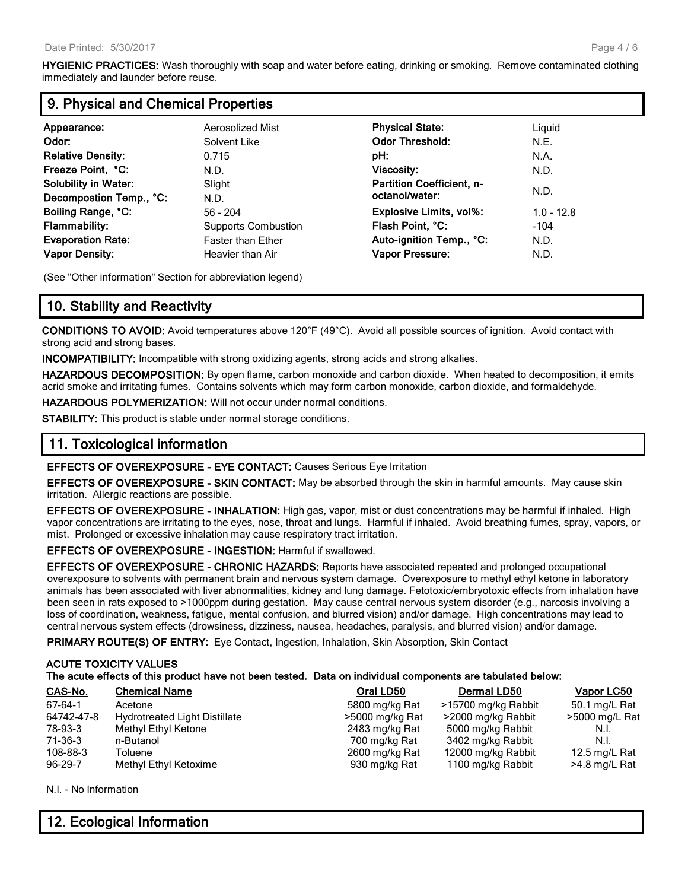**HYGIENIC PRACTICES:** Wash thoroughly with soap and water before eating, drinking or smoking. Remove contaminated clothing immediately and launder before reuse.

### **9. Physical and Chemical Properties**

| Appearance:                 | Aerosolized Mist           | <b>Physical State:</b>           | Liquid       |
|-----------------------------|----------------------------|----------------------------------|--------------|
| Odor:                       | Solvent Like               | <b>Odor Threshold:</b>           | N.E.         |
| <b>Relative Density:</b>    | 0.715                      | pH:                              | N.A.         |
| Freeze Point, °C:           | N.D.                       | <b>Viscosity:</b>                | N.D.         |
| <b>Solubility in Water:</b> | Slight                     | <b>Partition Coefficient, n-</b> |              |
| Decompostion Temp., °C:     | N.D.                       | octanol/water:                   | N.D.         |
| Boiling Range, °C:          | $56 - 204$                 | <b>Explosive Limits, vol%:</b>   | $1.0 - 12.8$ |
| <b>Flammability:</b>        | <b>Supports Combustion</b> | Flash Point, °C:                 | $-104$       |
| <b>Evaporation Rate:</b>    | <b>Faster than Ether</b>   | Auto-ignition Temp., °C:         | N.D.         |
| <b>Vapor Density:</b>       | Heavier than Air           | <b>Vapor Pressure:</b>           | N.D.         |

(See "Other information" Section for abbreviation legend)

# **10. Stability and Reactivity**

**CONDITIONS TO AVOID:** Avoid temperatures above 120°F (49°C). Avoid all possible sources of ignition. Avoid contact with strong acid and strong bases.

**INCOMPATIBILITY:** Incompatible with strong oxidizing agents, strong acids and strong alkalies.

**HAZARDOUS DECOMPOSITION:** By open flame, carbon monoxide and carbon dioxide. When heated to decomposition, it emits acrid smoke and irritating fumes. Contains solvents which may form carbon monoxide, carbon dioxide, and formaldehyde.

**HAZARDOUS POLYMERIZATION:** Will not occur under normal conditions.

**STABILITY:** This product is stable under normal storage conditions.

# **11. Toxicological information**

### **EFFECTS OF OVEREXPOSURE - EYE CONTACT:** Causes Serious Eye Irritation

**EFFECTS OF OVEREXPOSURE - SKIN CONTACT:** May be absorbed through the skin in harmful amounts. May cause skin irritation. Allergic reactions are possible.

**EFFECTS OF OVEREXPOSURE - INHALATION:** High gas, vapor, mist or dust concentrations may be harmful if inhaled. High vapor concentrations are irritating to the eyes, nose, throat and lungs. Harmful if inhaled. Avoid breathing fumes, spray, vapors, or mist. Prolonged or excessive inhalation may cause respiratory tract irritation.

**EFFECTS OF OVEREXPOSURE - INGESTION:** Harmful if swallowed.

**EFFECTS OF OVEREXPOSURE - CHRONIC HAZARDS:** Reports have associated repeated and prolonged occupational overexposure to solvents with permanent brain and nervous system damage. Overexposure to methyl ethyl ketone in laboratory animals has been associated with liver abnormalities, kidney and lung damage. Fetotoxic/embryotoxic effects from inhalation have been seen in rats exposed to >1000ppm during gestation. May cause central nervous system disorder (e.g., narcosis involving a loss of coordination, weakness, fatigue, mental confusion, and blurred vision) and/or damage. High concentrations may lead to central nervous system effects (drowsiness, dizziness, nausea, headaches, paralysis, and blurred vision) and/or damage.

**PRIMARY ROUTE(S) OF ENTRY:** Eye Contact, Ingestion, Inhalation, Skin Absorption, Skin Contact

### **ACUTE TOXICITY VALUES**

### **The acute effects of this product have not been tested. Data on individual components are tabulated below:**

| CAS-No.       | <b>Chemical Name</b>                 | Oral LD50       | <b>Dermal LD50</b>  | Vapor LC50     |
|---------------|--------------------------------------|-----------------|---------------------|----------------|
| 67-64-1       | Acetone                              | 5800 mg/kg Rat  | >15700 mg/kg Rabbit | 50.1 mg/L Rat  |
| 64742-47-8    | <b>Hydrotreated Light Distillate</b> | >5000 mg/kg Rat | >2000 mg/kg Rabbit  | >5000 mg/L Rat |
| 78-93-3       | Methyl Ethyl Ketone                  | 2483 mg/kg Rat  | 5000 mg/kg Rabbit   | N.I.           |
| 71-36-3       | n-Butanol                            | 700 mg/kg Rat   | 3402 mg/kg Rabbit   | N.I.           |
| 108-88-3      | Toluene                              | 2600 mg/kg Rat  | 12000 mg/kg Rabbit  | 12.5 mg/L Rat  |
| $96 - 29 - 7$ | Methyl Ethyl Ketoxime                | 930 mg/kg Rat   | 1100 mg/kg Rabbit   | >4.8 mg/L Rat  |

N.I. - No Information

# **12. Ecological Information**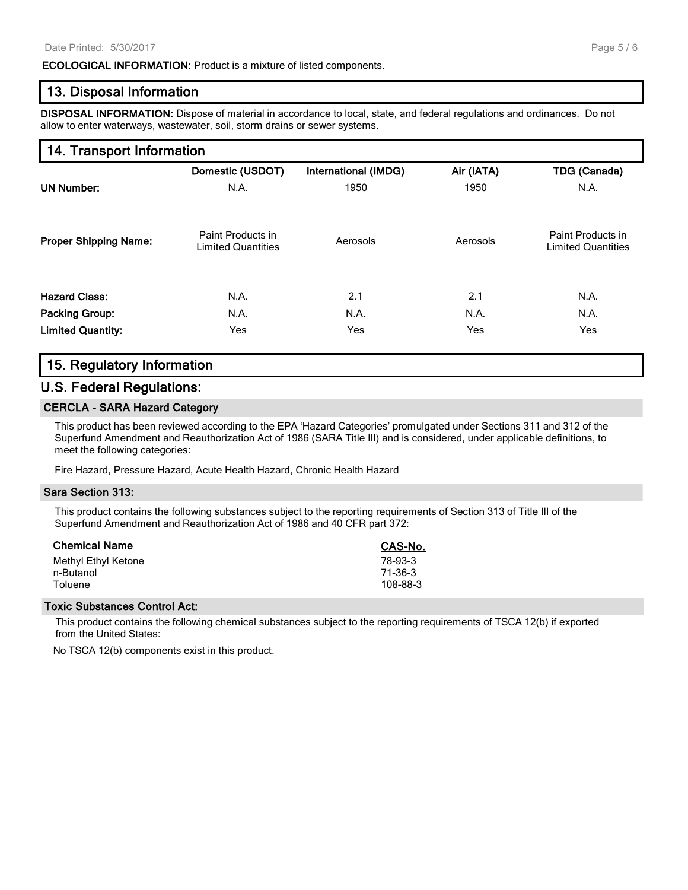### **ECOLOGICAL INFORMATION:** Product is a mixture of listed components.

### **13. Disposal Information**

**DISPOSAL INFORMATION:** Dispose of material in accordance to local, state, and federal regulations and ordinances. Do not allow to enter waterways, wastewater, soil, storm drains or sewer systems.

# **14. Transport Information**

| <b>UN Number:</b>            | Domestic (USDOT)                               | <b>International (IMDG)</b> | Air (IATA) | <b>TDG (Canada)</b>                            |
|------------------------------|------------------------------------------------|-----------------------------|------------|------------------------------------------------|
|                              | N.A.                                           | 1950                        | 1950       | N.A.                                           |
| <b>Proper Shipping Name:</b> | Paint Products in<br><b>Limited Quantities</b> | Aerosols                    | Aerosols   | Paint Products in<br><b>Limited Quantities</b> |
| <b>Hazard Class:</b>         | N.A.                                           | 2.1                         | 2.1        | N.A.                                           |
| <b>Packing Group:</b>        | N.A.                                           | N.A.                        | N.A.       | N.A.                                           |
| <b>Limited Quantity:</b>     | Yes                                            | Yes                         | Yes        | Yes                                            |

### **15. Regulatory Information**

### **U.S. Federal Regulations:**

#### **CERCLA - SARA Hazard Category**

This product has been reviewed according to the EPA 'Hazard Categories' promulgated under Sections 311 and 312 of the Superfund Amendment and Reauthorization Act of 1986 (SARA Title III) and is considered, under applicable definitions, to meet the following categories:

Fire Hazard, Pressure Hazard, Acute Health Hazard, Chronic Health Hazard

#### **Sara Section 313:**

This product contains the following substances subject to the reporting requirements of Section 313 of Title III of the Superfund Amendment and Reauthorization Act of 1986 and 40 CFR part 372:

| <b>Chemical Name</b> | CAS-No.        |
|----------------------|----------------|
| Methyl Ethyl Ketone  | 78-93-3        |
| n-Butanol            | 71-36-3        |
| Toluene              | $108 - 88 - 3$ |

### **Toxic Substances Control Act:**

This product contains the following chemical substances subject to the reporting requirements of TSCA 12(b) if exported from the United States:

No TSCA 12(b) components exist in this product.